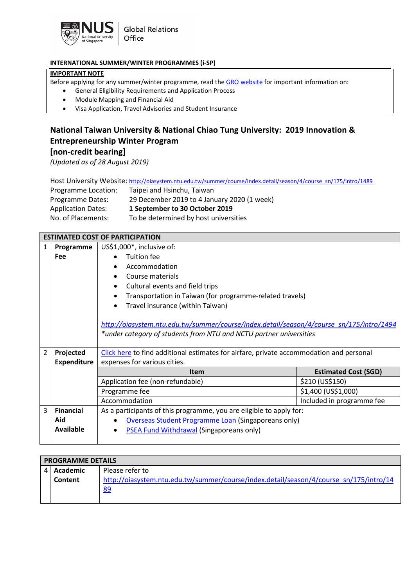

## **INTERNATIONAL SUMMER/WINTER PROGRAMMES (i-SP)**

## **IMPORTANT NOTE**

Before applying for any summer/winter programme, read th[e GRO website](http://www.nus.edu.sg/gro/summer-winter.php) for important information on:

- General Eligibility Requirements and Application Process
- Module Mapping and Financial Aid
- Visa Application, Travel Advisories and Student Insurance

## **National Taiwan University & National Chiao Tung University: 2019 Innovation & Entrepreneurship Winter Program**

**[non-credit bearing]**

*(Updated as of 28 August 2019)*

|  |  | Host University Website: http://oiasystem.ntu.edu.tw/summer/course/index.detail/season/4/course_sn/175/intro/1489 |  |
|--|--|-------------------------------------------------------------------------------------------------------------------|--|
|--|--|-------------------------------------------------------------------------------------------------------------------|--|

| Programme Location:       | Taipei and Hsinchu, Taiwan                  |
|---------------------------|---------------------------------------------|
| Programme Dates:          | 29 December 2019 to 4 January 2020 (1 week) |
| <b>Application Dates:</b> | 1 September to 30 October 2019              |
| No. of Placements:        | To be determined by host universities       |

|                | <b>ESTIMATED COST OF PARTICIPATION</b> |                                                                                          |                             |
|----------------|----------------------------------------|------------------------------------------------------------------------------------------|-----------------------------|
| 1              | Programme                              | US\$1,000*, inclusive of:                                                                |                             |
|                | <b>Fee</b>                             | Tuition fee                                                                              |                             |
|                |                                        | Accommodation                                                                            |                             |
|                |                                        | Course materials                                                                         |                             |
|                |                                        | Cultural events and field trips                                                          |                             |
|                |                                        | Transportation in Taiwan (for programme-related travels)                                 |                             |
|                |                                        | Travel insurance (within Taiwan)                                                         |                             |
|                |                                        |                                                                                          |                             |
|                |                                        | http://oiasystem.ntu.edu.tw/summer/course/index.detail/season/4/course_sn/175/intro/1494 |                             |
|                |                                        | *under category of students from NTU and NCTU partner universities                       |                             |
|                |                                        |                                                                                          |                             |
| $\overline{2}$ | Projected                              | Click here to find additional estimates for airfare, private accommodation and personal  |                             |
|                | <b>Expenditure</b>                     | expenses for various cities.                                                             |                             |
|                |                                        | <b>Item</b>                                                                              | <b>Estimated Cost (SGD)</b> |
|                |                                        | Application fee (non-refundable)                                                         | \$210 (US\$150)             |
|                |                                        | Programme fee                                                                            | \$1,400 (US\$1,000)         |
|                |                                        | Accommodation                                                                            | Included in programme fee   |
| $\overline{3}$ | <b>Financial</b>                       | As a participants of this programme, you are eligible to apply for:                      |                             |
|                | Aid                                    | <b>Overseas Student Programme Loan (Singaporeans only)</b>                               |                             |
|                | Available                              | PSEA Fund Withdrawal (Singaporeans only)<br>$\bullet$                                    |                             |
|                |                                        |                                                                                          |                             |

| <b>PROGRAMME DETAILS</b> |                                                                                        |  |
|--------------------------|----------------------------------------------------------------------------------------|--|
| 4 Academic               | Please refer to                                                                        |  |
| Content                  | http://oiasystem.ntu.edu.tw/summer/course/index.detail/season/4/course_sn/175/intro/14 |  |
|                          | <u>89</u>                                                                              |  |
|                          |                                                                                        |  |